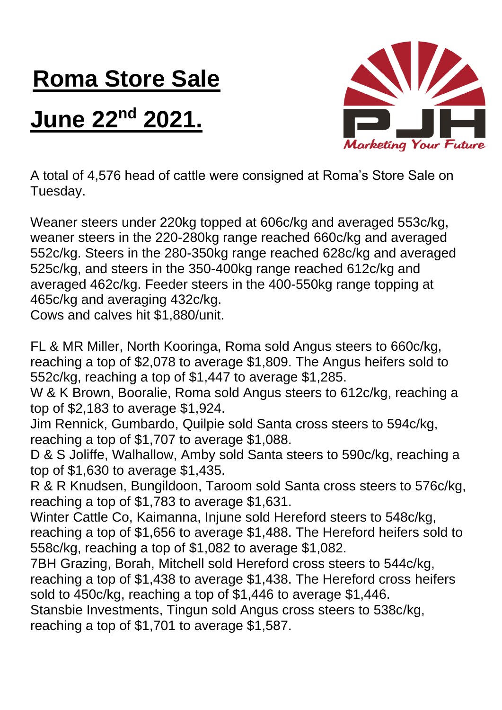## **Roma Store Sale**

## **June 22nd 2021.**



A total of 4,576 head of cattle were consigned at Roma's Store Sale on Tuesday.

Weaner steers under 220kg topped at 606c/kg and averaged 553c/kg, weaner steers in the 220-280kg range reached 660c/kg and averaged 552c/kg. Steers in the 280-350kg range reached 628c/kg and averaged 525c/kg, and steers in the 350-400kg range reached 612c/kg and averaged 462c/kg. Feeder steers in the 400-550kg range topping at 465c/kg and averaging 432c/kg.

Cows and calves hit \$1,880/unit.

FL & MR Miller, North Kooringa, Roma sold Angus steers to 660c/kg, reaching a top of \$2,078 to average \$1,809. The Angus heifers sold to 552c/kg, reaching a top of \$1,447 to average \$1,285.

W & K Brown, Booralie, Roma sold Angus steers to 612c/kg, reaching a top of \$2,183 to average \$1,924.

Jim Rennick, Gumbardo, Quilpie sold Santa cross steers to 594c/kg, reaching a top of \$1,707 to average \$1,088.

D & S Joliffe, Walhallow, Amby sold Santa steers to 590c/kg, reaching a top of \$1,630 to average \$1,435.

R & R Knudsen, Bungildoon, Taroom sold Santa cross steers to 576c/kg, reaching a top of \$1,783 to average \$1,631.

Winter Cattle Co, Kaimanna, Injune sold Hereford steers to 548c/kg, reaching a top of \$1,656 to average \$1,488. The Hereford heifers sold to 558c/kg, reaching a top of \$1,082 to average \$1,082.

7BH Grazing, Borah, Mitchell sold Hereford cross steers to 544c/kg, reaching a top of \$1,438 to average \$1,438. The Hereford cross heifers sold to 450c/kg, reaching a top of \$1,446 to average \$1,446.

Stansbie Investments, Tingun sold Angus cross steers to 538c/kg, reaching a top of \$1,701 to average \$1,587.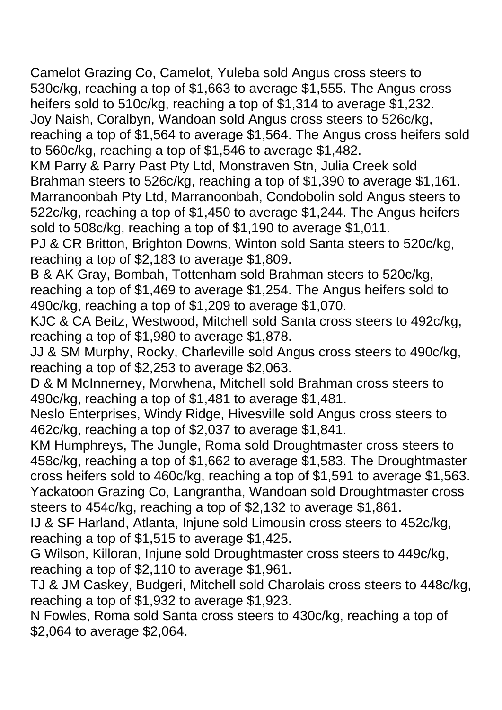Camelot Grazing Co, Camelot, Yuleba sold Angus cross steers to 530c/kg, reaching a top of \$1,663 to average \$1,555. The Angus cross heifers sold to 510c/kg, reaching a top of \$1,314 to average \$1,232. Joy Naish, Coralbyn, Wandoan sold Angus cross steers to 526c/kg, reaching a top of \$1,564 to average \$1,564. The Angus cross heifers sold to 560c/kg, reaching a top of \$1,546 to average \$1,482.

KM Parry & Parry Past Pty Ltd, Monstraven Stn, Julia Creek sold Brahman steers to 526c/kg, reaching a top of \$1,390 to average \$1,161. Marranoonbah Pty Ltd, Marranoonbah, Condobolin sold Angus steers to 522c/kg, reaching a top of \$1,450 to average \$1,244. The Angus heifers sold to 508c/kg, reaching a top of \$1,190 to average \$1,011.

PJ & CR Britton, Brighton Downs, Winton sold Santa steers to 520c/kg, reaching a top of \$2,183 to average \$1,809.

B & AK Gray, Bombah, Tottenham sold Brahman steers to 520c/kg, reaching a top of \$1,469 to average \$1,254. The Angus heifers sold to 490c/kg, reaching a top of \$1,209 to average \$1,070.

KJC & CA Beitz, Westwood, Mitchell sold Santa cross steers to 492c/kg, reaching a top of \$1,980 to average \$1,878.

JJ & SM Murphy, Rocky, Charleville sold Angus cross steers to 490c/kg, reaching a top of \$2,253 to average \$2,063.

D & M McInnerney, Morwhena, Mitchell sold Brahman cross steers to 490c/kg, reaching a top of \$1,481 to average \$1,481.

Neslo Enterprises, Windy Ridge, Hivesville sold Angus cross steers to 462c/kg, reaching a top of \$2,037 to average \$1,841.

KM Humphreys, The Jungle, Roma sold Droughtmaster cross steers to 458c/kg, reaching a top of \$1,662 to average \$1,583. The Droughtmaster cross heifers sold to 460c/kg, reaching a top of \$1,591 to average \$1,563. Yackatoon Grazing Co, Langrantha, Wandoan sold Droughtmaster cross steers to 454c/kg, reaching a top of \$2,132 to average \$1,861.

IJ & SF Harland, Atlanta, Injune sold Limousin cross steers to 452c/kg, reaching a top of \$1,515 to average \$1,425.

G Wilson, Killoran, Injune sold Droughtmaster cross steers to 449c/kg, reaching a top of \$2,110 to average \$1,961.

TJ & JM Caskey, Budgeri, Mitchell sold Charolais cross steers to 448c/kg, reaching a top of \$1,932 to average \$1,923.

N Fowles, Roma sold Santa cross steers to 430c/kg, reaching a top of \$2,064 to average \$2,064.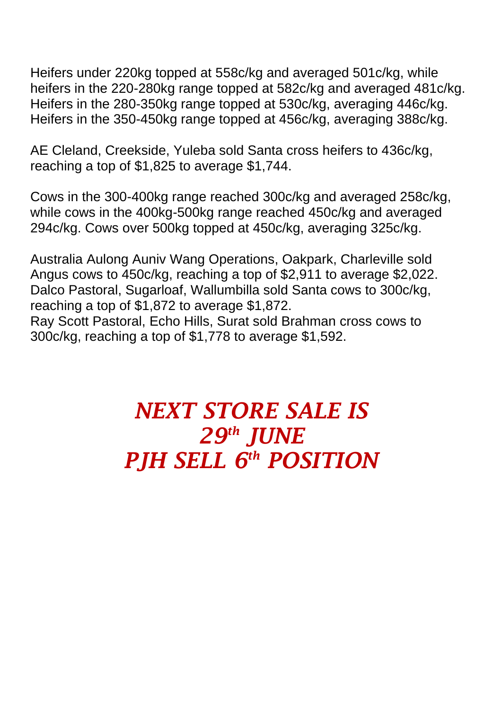Heifers under 220kg topped at 558c/kg and averaged 501c/kg, while heifers in the 220-280kg range topped at 582c/kg and averaged 481c/kg. Heifers in the 280-350kg range topped at 530c/kg, averaging 446c/kg. Heifers in the 350-450kg range topped at 456c/kg, averaging 388c/kg.

AE Cleland, Creekside, Yuleba sold Santa cross heifers to 436c/kg, reaching a top of \$1,825 to average \$1,744.

Cows in the 300-400kg range reached 300c/kg and averaged 258c/kg, while cows in the 400kg-500kg range reached 450c/kg and averaged 294c/kg. Cows over 500kg topped at 450c/kg, averaging 325c/kg.

Australia Aulong Auniv Wang Operations, Oakpark, Charleville sold Angus cows to 450c/kg, reaching a top of \$2,911 to average \$2,022. Dalco Pastoral, Sugarloaf, Wallumbilla sold Santa cows to 300c/kg, reaching a top of \$1,872 to average \$1,872. Ray Scott Pastoral, Echo Hills, Surat sold Brahman cross cows to 300c/kg, reaching a top of \$1,778 to average \$1,592.

## *NEXT STORE SALE IS 29th JUNE PJH SELL 6 th POSITION*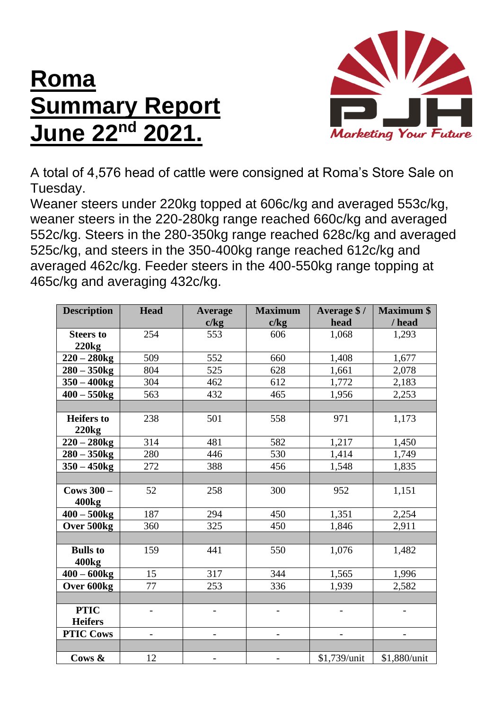## **Roma Summary Report June 22nd 2021.**



A total of 4,576 head of cattle were consigned at Roma's Store Sale on Tuesday.

Weaner steers under 220kg topped at 606c/kg and averaged 553c/kg, weaner steers in the 220-280kg range reached 660c/kg and averaged 552c/kg. Steers in the 280-350kg range reached 628c/kg and averaged 525c/kg, and steers in the 350-400kg range reached 612c/kg and averaged 462c/kg. Feeder steers in the 400-550kg range topping at 465c/kg and averaging 432c/kg.

| <b>Description</b> | Head | <b>Average</b> | <b>Maximum</b> | Average \$/  | <b>Maximum \$</b> |
|--------------------|------|----------------|----------------|--------------|-------------------|
|                    |      | c/kg           | c/kg           | head         | / head            |
| <b>Steers to</b>   | 254  | 553            | 606            | 1,068        | 1,293             |
| 220kg              |      |                |                |              |                   |
| $220 - 280$ kg     | 509  | 552            | 660            | 1,408        | 1,677             |
| $280 - 350$ kg     | 804  | 525            | 628            | 1,661        | 2,078             |
| $350 - 400$ kg     | 304  | 462            | 612            | 1,772        | 2,183             |
| $400 - 550$ kg     | 563  | 432            | 465            | 1,956        | 2,253             |
|                    |      |                |                |              |                   |
| <b>Heifers</b> to  | 238  | 501            | 558            | 971          | 1,173             |
| <b>220kg</b>       |      |                |                |              |                   |
| $220 - 280$ kg     | 314  | 481            | 582            | 1,217        | 1,450             |
| $280 - 350$ kg     | 280  | 446            | 530            | 1,414        | 1,749             |
| $350 - 450$ kg     | 272  | 388            | 456            | 1,548        | 1,835             |
|                    |      |                |                |              |                   |
| Cows $300 -$       | 52   | 258            | 300            | 952          | 1,151             |
| 400 <sub>kg</sub>  |      |                |                |              |                   |
| $400 - 500$ kg     | 187  | 294            | 450            | 1,351        | 2,254             |
| Over 500kg         | 360  | 325            | 450            | 1,846        | 2,911             |
|                    |      |                |                |              |                   |
| <b>Bulls</b> to    | 159  | 441            | 550            | 1,076        | 1,482             |
| 400 <sub>kg</sub>  |      |                |                |              |                   |
| $400 - 600kg$      | 15   | 317            | 344            | 1,565        | 1,996             |
| Over 600kg         | 77   | 253            | 336            | 1,939        | 2,582             |
|                    |      |                |                |              |                   |
| <b>PTIC</b>        |      |                |                |              |                   |
| <b>Heifers</b>     |      |                |                |              |                   |
| <b>PTIC Cows</b>   |      |                |                |              |                   |
|                    |      |                |                |              |                   |
| Cows &             | 12   |                |                | \$1,739/unit | \$1,880/unit      |